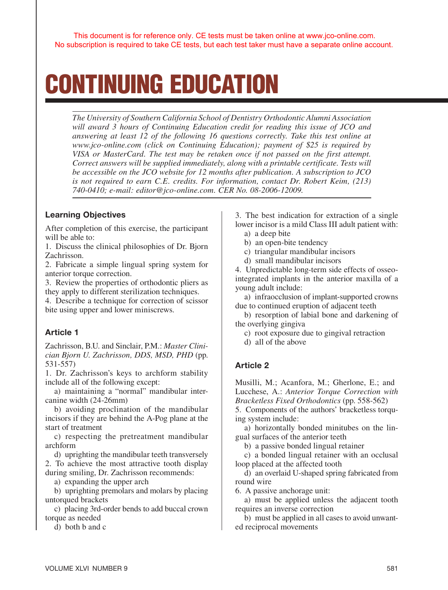# CONTINUING EDUCATION

*The University of Southern California School of Dentistry Orthodontic Alumni Association will award 3 hours of Continuing Education credit for reading this issue of JCO and answering at least 12 of the following 16 questions correctly. Take this test online at www.jco-online.com (click on Continuing Education); payment of \$25 is required by VISA or MasterCard. The test may be retaken once if not passed on the first attempt. Correct answers will be supplied immediately, along with a printable certificate. Tests will be accessible on the JCO website for 12 months after publication. A subscription to JCO is not required to earn C.E. credits. For information, contact Dr. Robert Keim, (213) 740-0410; e-mail: editor@jco-online.com. CER No. 08-2006-12009.*

#### Learning Objectives

After completion of this exercise, the participant will be able to:

1. Discuss the clinical philosophies of Dr. Bjorn Zachrisson.

2. Fabricate a simple lingual spring system for anterior torque correction.

3. Review the properties of orthodontic pliers as they apply to different sterilization techniques.

4. Describe a technique for correction of scissor bite using upper and lower miniscrews.

## Article 1

Zachrisson, B.U. and Sinclair, P.M.: *Master Clinician Bjorn U. Zachrisson, DDS, MSD, PHD* (pp. 531-557)

1. Dr. Zachrisson's keys to archform stability include all of the following except:

a) maintaining a "normal" mandibular intercanine width (24-26mm)

b) avoiding proclination of the mandibular incisors if they are behind the A-Pog plane at the start of treatment

c) respecting the pretreatment mandibular archform

d) uprighting the mandibular teeth transversely 2. To achieve the most attractive tooth display during smiling, Dr. Zachrisson recommends:

a) expanding the upper arch

b) uprighting premolars and molars by placing untorqued brackets

c) placing 3rd-order bends to add buccal crown torque as needed

d) both b and c

3. The best indication for extraction of a single lower incisor is a mild Class III adult patient with:

- a) a deep bite b) an open-bite tendency
- 
- c) triangular mandibular incisors
- d) small mandibular incisors

4. Unpredictable long-term side effects of osseointegrated implants in the anterior maxilla of a young adult include:

a) infraocclusion of implant-supported crowns due to continued eruption of adjacent teeth

b) resorption of labial bone and darkening of the overlying gingiva

c) root exposure due to gingival retraction

d) all of the above

## Article 2

Musilli, M.; Acanfora, M.; Gherlone, E.; and Lucchese, A.: *Anterior Torque Correction with Bracketless Fixed Orthodontics* (pp. 558-562)

5. Components of the authors' bracketless torquing system include:

a) horizontally bonded minitubes on the lingual surfaces of the anterior teeth

b) a passive bonded lingual retainer

c) a bonded lingual retainer with an occlusal loop placed at the affected tooth

d) an overlaid U-shaped spring fabricated from round wire

6. A passive anchorage unit:

a) must be applied unless the adjacent tooth requires an inverse correction

b) must be applied in all cases to avoid unwanted reciprocal movements